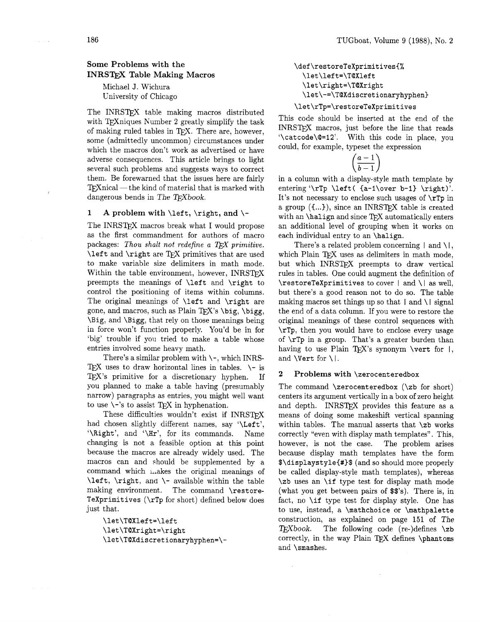# **Some Problems with the INRSTFX Table Making Macros**

Michael J. Wichura University of Chicago

The INRSTFX table making macros distributed with TFX niques Number 2 greatly simplify the task of making ruled tables in TFX. There are, however, some (admittedly uncommon) circumstances under which the macros don't work as advertised or have adverse consequences. This article brings to light several such problems and suggests ways to correct them. Be forewarned that the issues here are fairly  $TFXnical$  — the kind of material that is marked with dangerous bends in The TFXbook.

## **1 A problem with** \left, \right, **and** \-

The INRSTFX macros break what I would propose as the first commandment for authors of macro packages: *Thou shalt not redefine a TFX primitive.* \left and \right are TEX primitives that are used to make variable size delimiters in math mode. Within the table environment, however, INRSTFX preempts the meanings of \left and \right to control the positioning of items within columns. The original meanings of \left and \right are gone, and macros, such as Plain TEX's \big, \bigg, \Big, and \Bigg, that rely on those meanings being in force won't function properly. You'd be in for 'big' trouble if you tried to make a table whose entries involved some heavy math.

There's a similar problem with  $\$ -, which INRS-TEX uses to draw horizontal lines in tables.  $\setminus$ - is TEX's primitive for a discretionary hyphen. If you planned to make a table having (presumably narrow) paragraphs as entries, you might well want to use  $\setminus$ -'s to assist T<sub>E</sub>X in hyphenation.

These difficulties wouldn't exist if INRSTFX had chosen slightly different names, say '\Left', '\Right', and '\Hr', for its commands. Name changing is not a feasible option at this point because the macros are already widely used. The macros can and should be supplemented by a command which i,,akes the original meanings of \left, \right, and \- available within the table making environment. The command \restore-TeXprimitives (\rTp for short) defined below does just that.

\let\TOXleft=\left \let\TOXright=\right **\let\TOXdiscretionaryhyphen=\-**  \def\restoreTeXprimitives{% \let\left=\T@Xleft \let\right=\T@Xright \let\-=\T@Xdiscretionaryhyphen}

# **\let\rTp=\restoreTeXprimitives**

This code should be inserted at the end of the INRSTEX macros, just before the line that reads '\catcode\Q=12'. With this code in place, you could, for example, typeset the expression

 $\left(\frac{a-1}{b-1}\right)$ 

in a column with a display-style math template by entering '\rTp \left(  ${a-1\over b-1}$  \right)'. It's not necessary to enclose such usages of \rTp in a group  $({...})$ , since an INRST<sub>F</sub>X table is created with an  $\hat{m}$  and since T<sub>E</sub>X automatically enters an additional level of grouping when it works on each individual entry to an \halign.

There's a related problem concerning  $|$  and  $\setminus |$ , which Plain TFX uses as delimiters in math mode, but which INRSTEX preempts to draw vertical rules in tables. One could augment the definition of  $\text{TestoreTeX}$ primitives to cover | and  $\iota$  as well, but there's a good reason not to do so. The table making macros set things up so that  $|$  and  $\|$  signal the end of a data column. If you were to restore the original meanings of these control sequences with \rTp, then you would have to enclose every usage of  $\tau_{\text{p}}$  in a group. That's a greater burden than having to use Plain TFX's synonym \vert for  $\vert$ , and  $\Vert \text{Vert}$  for  $\Vert \cdot \Vert$ .

#### **2 Problems with** \zerocenteredbox

The command  $\zeta$  ( $\zeta$ ) ( $\zeta$ ) for short) centers its argument vertically in a box of zero height and depth. INRSTEX provides this feature as a means of doing some makeshift vertical spanning within tables. The manual asserts that  $\zeta$ b works correctly "even with display math templates". This, however, is not the case. The problem arises because display math templates have the form \$\displaystyle{#)\$ (and so should more properly be called display-style math templates), whereas \zb uses an \if type test for display math mode (what you get between pairs of \$\$'s). There is, in fact, no \if type test for display style. One has to use, instead, a \mathchoice or \mathpalette construction, as explained on page 151 of The  $T_{\rm E}X$ book. The following code (re-)defines \zb correctly, in the way Plain TEX defines  $\phi$  hantoms and \smashes.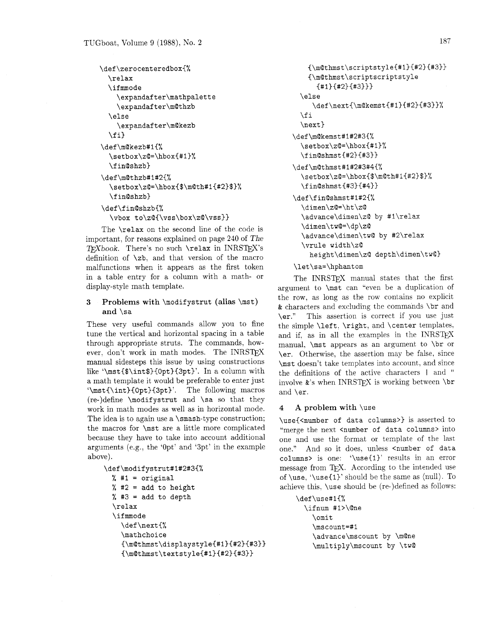```
\def\zerocenteredbox{%
  \relax
  \ifmmode
    \expandafter\mathpalette
    \expandafter\m@thzb
  \else
    \expandafter\m@kezb
  \{f_i\}\def\m@kezb#1{%
  \setbox\zQ=\hbox{#1}%
  \fin@shzb}
\def\m@thzb#1#2{%
  \setbox\z@=\hbox{$\m@th#1{#2}$}%
  \fin@shzb}
\def\fin@shzb{%
  \vbox to\zQ{\vss\box\zQ\vss}}
```
The **\relax** on the second line of the code is important, for reasons explained on page 240 of The TFXbook. There's no such **\relax** in INRSTFX's definition of **\zb,** and that version of the macro malfunctions when it appears as the first token in a table entry for a column with a math- or display-style math template.

# **3 Problems with \modif ystrut (alias \mst) and \sa**

These very useful commands allow you to fine tune the vertical and horizontal spacing in a table through appropriate struts. The commands, however, don't work in math modes. The INRSTFX manual sidesteps this issue by using constructions like **'\mst{\$\int\$){Opt){3pt)'.** In a column with a math template it would be preferable to enter just **'\mst** (\ **int){Opt )(3pt)'.** The following macros (re-)define **\modif ystrut** and **\sa** so that they work in math modes as well as in horizontal mode. The idea is to again use a **\smash-type** construction; the macros for **\mst** are a little more complicated because they have to take into account additional arguments (e.g., the 'Opt' and '3pt' in the example above).

```
\def\modifystrut#1#2#3{% 
  % #I = original 
  % #2 = add to height 
  % #3 = add to depth
  \relax 
  \if mode 
    \def \next {% 
    \mathchoice 
    {\m@thmst\displaystyle{#1){#2){#3~~ 
    (\m@thmst\textstyle~#1~~#2~{#3~~
```

```
{\mathbb S}\ = {\mQthmst\scriptstyle{#1}{#2}{#3}}
    {\m@thmst\scriptscriptstyle
      {#1}{#2}{#3}}\else
     \def\next{\m@kemst{#1}{#2}{#3}}%
 \fi
  \def\m@kemst#1#2#3{%
  \setbox\z@=\hbox{#1}%
  \frac{\frac{1}{42}}{143}\def\m@thmst#1#2#3#4{%
  \setbox\z@=\hbox{$\mQth#1{#2}$}%
  \binom{1+1}{1}\def\fin@shmst#1#2{%
  \dimen\z@=\ht\z@
  \advance\dimen\z@ by #1\relax
  \dimen\tw@=\dp\z@
  \advance\dimen\tw@ by #2\relax
  \vrule width\z@
    height\dimen\z@ depth\dimen\tw@}
```
### \let\sa=\hphantom

The INRSTFX manual states that the first argument to **\mst** can "even be a duplication of the row, as long as the row contains no explicit & characters and excluding the commands **\br** and **\er."** This assertion is correct if you use just the simple **\left. \right,** and **\center** templates. and if, as in all the examples in the INRSTEX manual. **\mst** appears as an argument to **\br** or **\er.** Otherwise, the assertion may be false, since **\mst** doesn't take templates into account, and since the definitions of the active characters I and " involve  $x$ 's when INRST<sub>F</sub>X is working between **\br** and **\er.** 

### **4 A problem with \use**

**\use{<number of data columns>)** is asserted to "merge the next **<number** of data columns> into one and use the format or template of the last one." And so it does, unless **<number of data columns>** is one: **'\use{l)'** results in an error message from TEX. According to the intended use of **\use, '\use(1)'** should be the same as (null). To achieve this, **\use** should be (re-)defined as follows:

```
\def\use#1{%
 \ifnum #1>\@ne
    \omit
    \mscount=#1
    \advance\mscount by \m@ne
    \multiply\mscount by \tw@
```